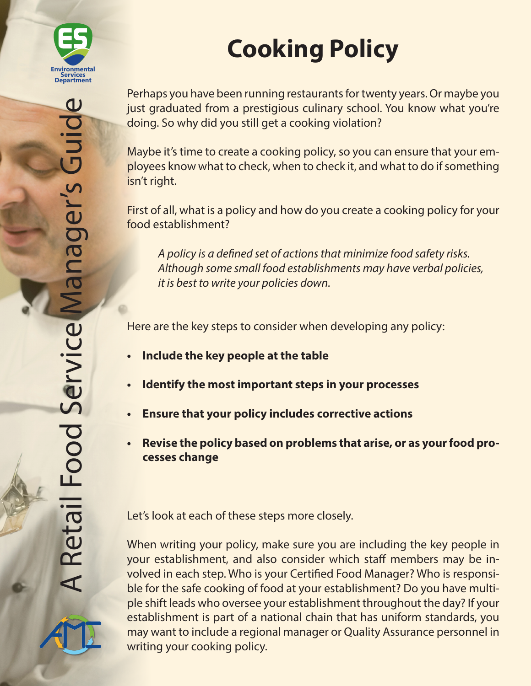

# **Cooking Policy**

Perhaps you have been running restaurants for twenty years. Or maybe you just graduated from a prestigious culinary school. You know what you're doing. So why did you still get a cooking violation?

Maybe it's time to create a cooking policy, so you can ensure that your employees know what to check, when to check it, and what to do if something isn't right.

First of all, what is a policy and how do you create a cooking policy for your food establishment?

*A policy is a defined set of actions that minimize food safety risks. Although some small food establishments may have verbal policies, it is best to write your policies down.*

Here are the key steps to consider when developing any policy:

- **• Include the key people at the table**
- **• Identify the most important steps in your processes**
- **• Ensure that your policy includes corrective actions**
- **• Revise the policy based on problems that arise, or as your food processes change**

Let's look at each of these steps more closely.

When writing your policy, make sure you are including the key people in your establishment, and also consider which staff members may be involved in each step. Who is your Certified Food Manager? Who is responsible for the safe cooking of food at your establishment? Do you have multiple shift leads who oversee your establishment throughout the day? If your establishment is part of a national chain that has uniform standards, you may want to include a regional manager or Quality Assurance personnel in writing your cooking policy.

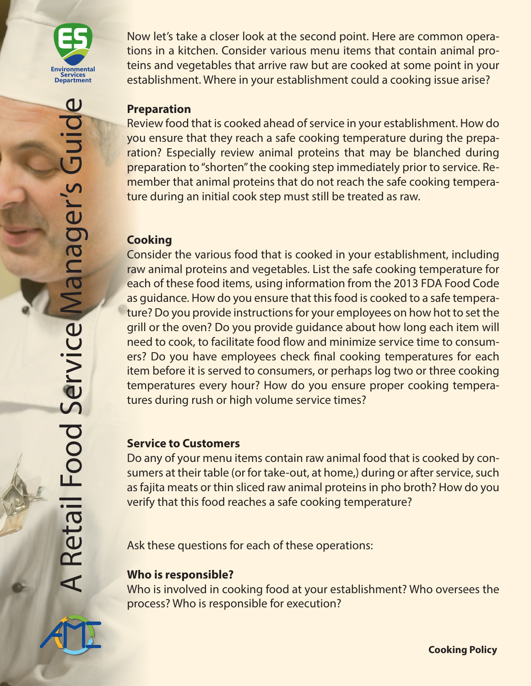

Now let's take a closer look at the second point. Here are common operations in a kitchen. Consider various menu items that contain animal proteins and vegetables that arrive raw but are cooked at some point in your establishment. Where in your establishment could a cooking issue arise?

#### **Preparation**

Review food that is cooked ahead of service in your establishment. How do you ensure that they reach a safe cooking temperature during the preparation? Especially review animal proteins that may be blanched during preparation to "shorten" the cooking step immediately prior to service. Remember that animal proteins that do not reach the safe cooking temperature during an initial cook step must still be treated as raw.

# **Cooking**

Consider the various food that is cooked in your establishment, including raw animal proteins and vegetables. List the safe cooking temperature for each of these food items, using information from the 2013 FDA Food Code as guidance. How do you ensure that this food is cooked to a safe temperature? Do you provide instructions for your employees on how hot to set the grill or the oven? Do you provide guidance about how long each item will need to cook, to facilitate food flow and minimize service time to consumers? Do you have employees check final cooking temperatures for each item before it is served to consumers, or perhaps log two or three cooking temperatures every hour? How do you ensure proper cooking temperatures during rush or high volume service times?

#### **Service to Customers**

Do any of your menu items contain raw animal food that is cooked by consumers at their table (or for take-out, at home,) during or after service, such as fajita meats or thin sliced raw animal proteins in pho broth? How do you verify that this food reaches a safe cooking temperature?

Ask these questions for each of these operations:

#### **Who is responsible?**

Who is involved in cooking food at your establishment? Who oversees the process? Who is responsible for execution?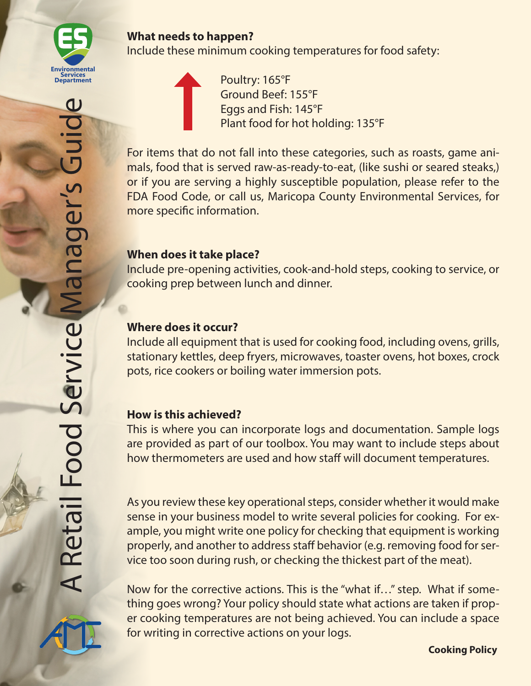

Include these minimum cooking temperatures for food safety:

 Poultry: 165°F Ground Beef: 155°F Eggs and Fish: 145°F Plant food for hot holding: 135°F

For items that do not fall into these categories, such as roasts, game animals, food that is served raw-as-ready-to-eat, (like sushi or seared steaks,) or if you are serving a highly susceptible population, please refer to the FDA Food Code, or call us, Maricopa County Environmental Services, for more specific information.

# **When does it take place?**

Include pre-opening activities, cook-and-hold steps, cooking to service, or cooking prep between lunch and dinner.

# **Where does it occur?**

Include all equipment that is used for cooking food, including ovens, grills, stationary kettles, deep fryers, microwaves, toaster ovens, hot boxes, crock pots, rice cookers or boiling water immersion pots.

# **How is this achieved?**

This is where you can incorporate logs and documentation. Sample logs are provided as part of our toolbox. You may want to include steps about how thermometers are used and how staff will document temperatures.

As you review these key operational steps, consider whether it would make sense in your business model to write several policies for cooking. For example, you might write one policy for checking that equipment is working properly, and another to address staff behavior (e.g. removing food for service too soon during rush, or checking the thickest part of the meat).

Now for the corrective actions. This is the "what if…" step. What if something goes wrong? Your policy should state what actions are taken if proper cooking temperatures are not being achieved. You can include a space for writing in corrective actions on your logs.